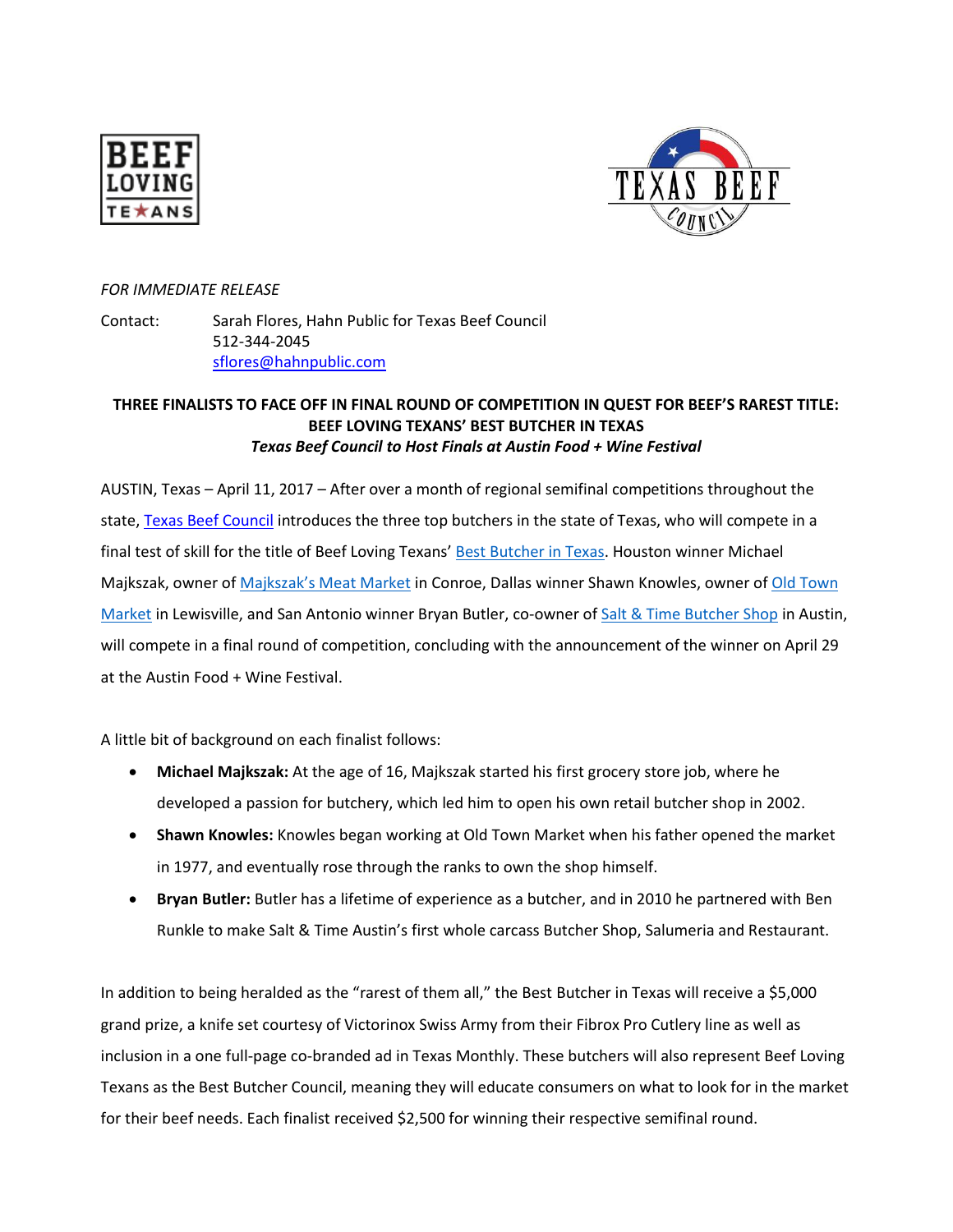



## *FOR IMMEDIATE RELEASE*

Contact: Sarah Flores, Hahn Public for Texas Beef Council 512-344-2045 [sflores@hahnpublic.com](mailto:sflores@hahnpublic.com)

## **THREE FINALISTS TO FACE OFF IN FINAL ROUND OF COMPETITION IN QUEST FOR BEEF'S RAREST TITLE: BEEF LOVING TEXANS' BEST BUTCHER IN TEXAS** *Texas Beef Council to Host Finals at Austin Food + Wine Festival*

AUSTIN, Texas – April 11, 2017 – After over a month of regional semifinal competitions throughout the state[, Texas Beef Council](http://www.beeflovingtexans.com/) introduces the three top butchers in the state of Texas, who will compete in a final test of skill for the title of Beef Loving Texans' [Best Butcher in Texas.](http://beeflovingtexans.com/best-butcher-in-texas/) Houston winner Michael Majkszak, owner of [Majkszak's Meat Market](http://www.majkszaksmeatmarket.net/) in Conroe, Dallas winner Shawn Knowles, owner o[f Old Town](http://www.oldtownmkt.com/index.html)  [Market](http://www.oldtownmkt.com/index.html) in Lewisville, and San Antonio winner Bryan Butler, co-owner of [Salt & Time Butcher Shop](http://www.saltandtime.com/) in Austin, will compete in a final round of competition, concluding with the announcement of the winner on April 29 at the Austin Food + Wine Festival.

A little bit of background on each finalist follows:

- **Michael Majkszak:** At the age of 16, Majkszak started his first grocery store job, where he developed a passion for butchery, which led him to open his own retail butcher shop in 2002.
- **Shawn Knowles:** Knowles began working at Old Town Market when his father opened the market in 1977, and eventually rose through the ranks to own the shop himself.
- **Bryan Butler:** Butler has a lifetime of experience as a butcher, and in 2010 he partnered with Ben Runkle to make Salt & Time Austin's first whole carcass Butcher Shop, Salumeria and Restaurant.

In addition to being heralded as the "rarest of them all," the Best Butcher in Texas will receive a \$5,000 grand prize, a knife set courtesy of Victorinox Swiss Army from their Fibrox Pro Cutlery line as well as inclusion in a one full-page co-branded ad in Texas Monthly. These butchers will also represent Beef Loving Texans as the Best Butcher Council, meaning they will educate consumers on what to look for in the market for their beef needs. Each finalist received \$2,500 for winning their respective semifinal round.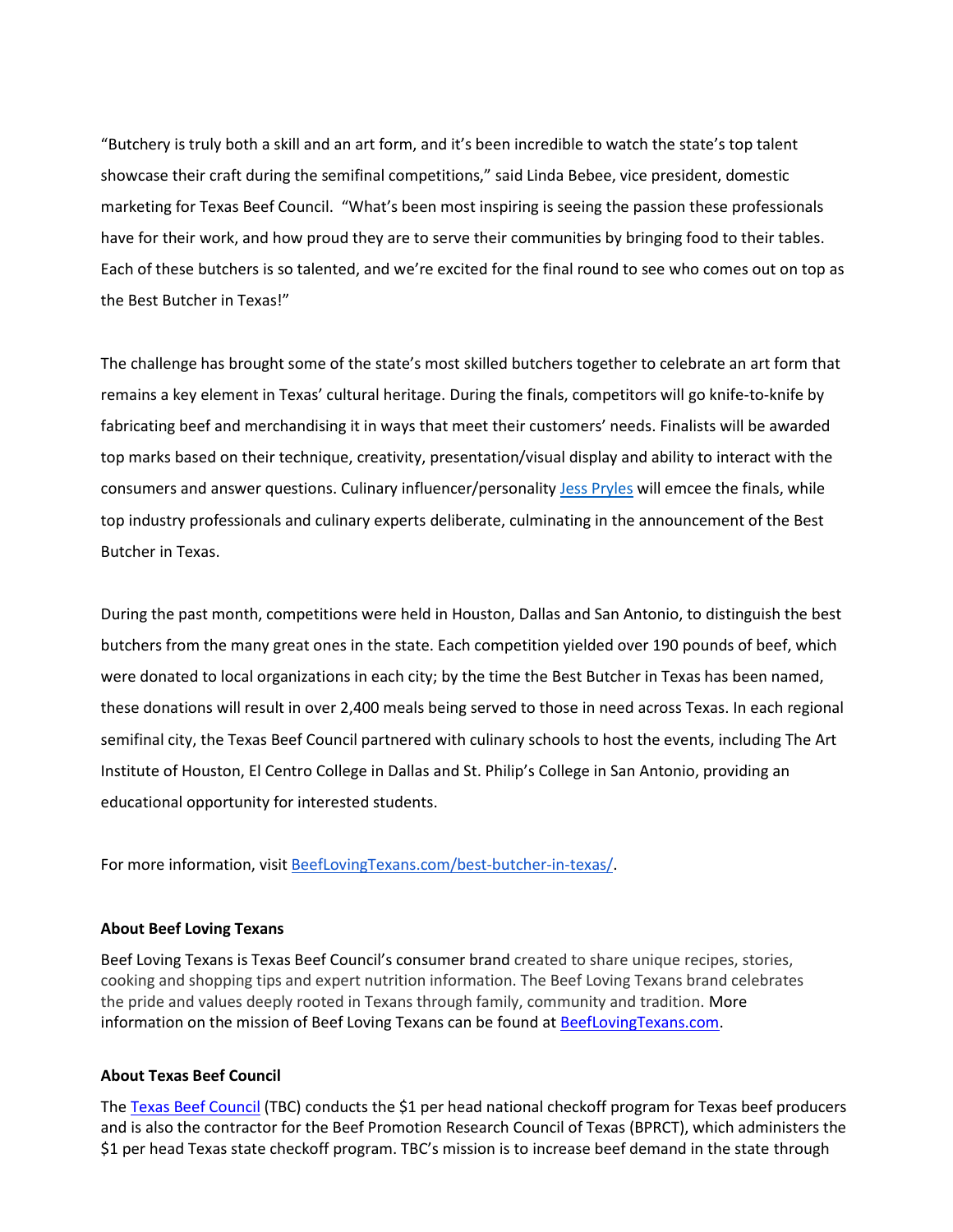"Butchery is truly both a skill and an art form, and it's been incredible to watch the state's top talent showcase their craft during the semifinal competitions," said Linda Bebee, vice president, domestic marketing for Texas Beef Council. "What's been most inspiring is seeing the passion these professionals have for their work, and how proud they are to serve their communities by bringing food to their tables. Each of these butchers is so talented, and we're excited for the final round to see who comes out on top as the Best Butcher in Texas!"

The challenge has brought some of the state's most skilled butchers together to celebrate an art form that remains a key element in Texas' cultural heritage. During the finals, competitors will go knife-to-knife by fabricating beef and merchandising it in ways that meet their customers' needs. Finalists will be awarded top marks based on their technique, creativity, presentation/visual display and ability to interact with the consumers and answer questions. Culinary influencer/personality [Jess Pryles](http://jesspryles.com/) will emcee the finals, while top industry professionals and culinary experts deliberate, culminating in the announcement of the Best Butcher in Texas.

During the past month, competitions were held in Houston, Dallas and San Antonio, to distinguish the best butchers from the many great ones in the state. Each competition yielded over 190 pounds of beef, which were donated to local organizations in each city; by the time the Best Butcher in Texas has been named, these donations will result in over 2,400 meals being served to those in need across Texas. In each regional semifinal city, the Texas Beef Council partnered with culinary schools to host the events, including The Art Institute of Houston, El Centro College in Dallas and St. Philip's College in San Antonio, providing an educational opportunity for interested students.

For more information, visit [BeefLovingTexans.com/best-butcher-in-texas/.](http://beeflovingtexans.com/best-butcher-in-texas/)

## **About Beef Loving Texans**

Beef Loving Texans is Texas Beef Council's consumer brand created to share unique recipes, stories, cooking and shopping tips and expert nutrition information. The Beef Loving Texans brand celebrates the pride and values deeply rooted in Texans through family, community and tradition. More information on the mission of Beef Loving Texans can be found at [BeefLovingTexans.com.](http://www.beeflovingtexans.com/)

## **About Texas Beef Council**

The [Texas Beef Council](http://www.beeflovingtexans.com/) (TBC) conducts the \$1 per head national checkoff program for Texas beef producers and is also the contractor for the Beef Promotion Research Council of Texas (BPRCT), which administers the \$1 per head Texas state checkoff program. TBC's mission is to increase beef demand in the state through